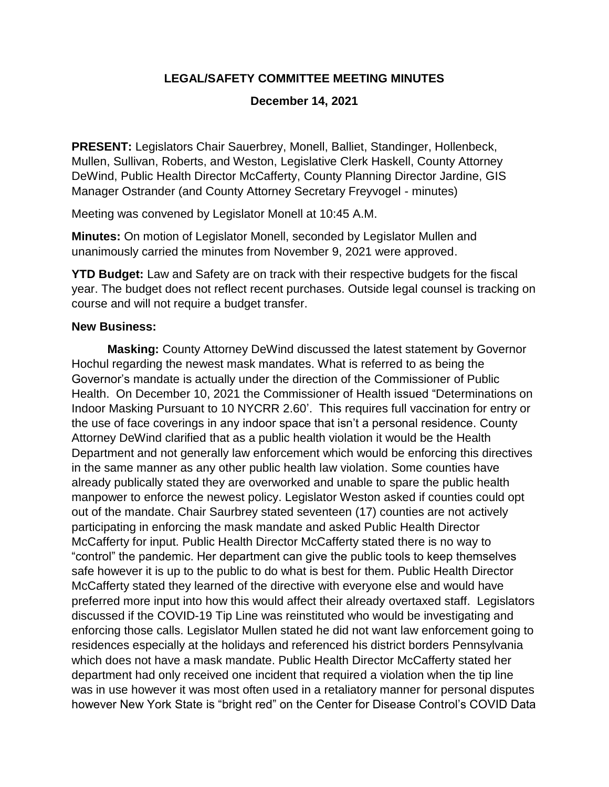## **LEGAL/SAFETY COMMITTEE MEETING MINUTES**

## **December 14, 2021**

**PRESENT:** Legislators Chair Sauerbrey, Monell, Balliet, Standinger, Hollenbeck, Mullen, Sullivan, Roberts, and Weston, Legislative Clerk Haskell, County Attorney DeWind, Public Health Director McCafferty, County Planning Director Jardine, GIS Manager Ostrander (and County Attorney Secretary Freyvogel - minutes)

Meeting was convened by Legislator Monell at 10:45 A.M.

**Minutes:** On motion of Legislator Monell, seconded by Legislator Mullen and unanimously carried the minutes from November 9, 2021 were approved.

**YTD Budget:** Law and Safety are on track with their respective budgets for the fiscal year. The budget does not reflect recent purchases. Outside legal counsel is tracking on course and will not require a budget transfer.

## **New Business:**

**Masking:** County Attorney DeWind discussed the latest statement by Governor Hochul regarding the newest mask mandates. What is referred to as being the Governor's mandate is actually under the direction of the Commissioner of Public Health. On December 10, 2021 the Commissioner of Health issued "Determinations on Indoor Masking Pursuant to 10 NYCRR 2.60'. This requires full vaccination for entry or the use of face coverings in any indoor space that isn't a personal residence. County Attorney DeWind clarified that as a public health violation it would be the Health Department and not generally law enforcement which would be enforcing this directives in the same manner as any other public health law violation. Some counties have already publically stated they are overworked and unable to spare the public health manpower to enforce the newest policy. Legislator Weston asked if counties could opt out of the mandate. Chair Saurbrey stated seventeen (17) counties are not actively participating in enforcing the mask mandate and asked Public Health Director McCafferty for input. Public Health Director McCafferty stated there is no way to "control" the pandemic. Her department can give the public tools to keep themselves safe however it is up to the public to do what is best for them. Public Health Director McCafferty stated they learned of the directive with everyone else and would have preferred more input into how this would affect their already overtaxed staff. Legislators discussed if the COVID-19 Tip Line was reinstituted who would be investigating and enforcing those calls. Legislator Mullen stated he did not want law enforcement going to residences especially at the holidays and referenced his district borders Pennsylvania which does not have a mask mandate. Public Health Director McCafferty stated her department had only received one incident that required a violation when the tip line was in use however it was most often used in a retaliatory manner for personal disputes however New York State is "bright red" on the Center for Disease Control's COVID Data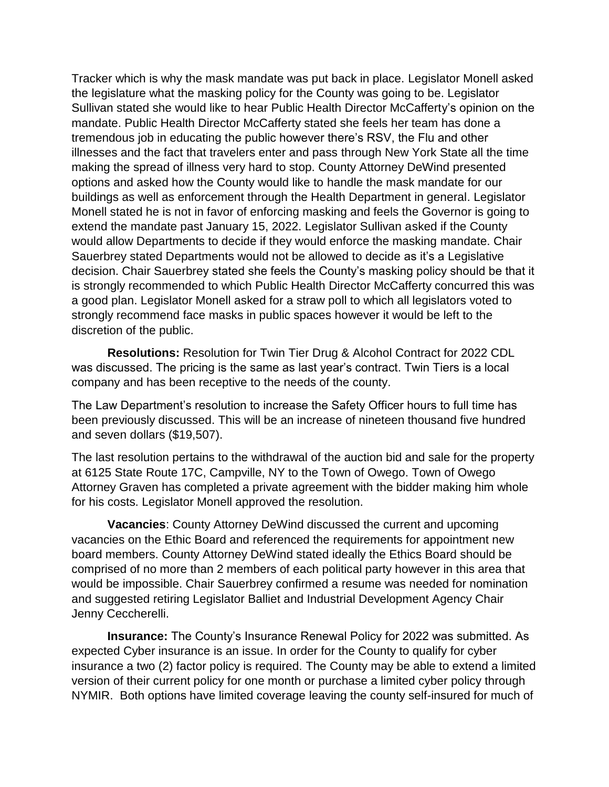Tracker which is why the mask mandate was put back in place. Legislator Monell asked the legislature what the masking policy for the County was going to be. Legislator Sullivan stated she would like to hear Public Health Director McCafferty's opinion on the mandate. Public Health Director McCafferty stated she feels her team has done a tremendous job in educating the public however there's RSV, the Flu and other illnesses and the fact that travelers enter and pass through New York State all the time making the spread of illness very hard to stop. County Attorney DeWind presented options and asked how the County would like to handle the mask mandate for our buildings as well as enforcement through the Health Department in general. Legislator Monell stated he is not in favor of enforcing masking and feels the Governor is going to extend the mandate past January 15, 2022. Legislator Sullivan asked if the County would allow Departments to decide if they would enforce the masking mandate. Chair Sauerbrey stated Departments would not be allowed to decide as it's a Legislative decision. Chair Sauerbrey stated she feels the County's masking policy should be that it is strongly recommended to which Public Health Director McCafferty concurred this was a good plan. Legislator Monell asked for a straw poll to which all legislators voted to strongly recommend face masks in public spaces however it would be left to the discretion of the public.

**Resolutions:** Resolution for Twin Tier Drug & Alcohol Contract for 2022 CDL was discussed. The pricing is the same as last year's contract. Twin Tiers is a local company and has been receptive to the needs of the county.

The Law Department's resolution to increase the Safety Officer hours to full time has been previously discussed. This will be an increase of nineteen thousand five hundred and seven dollars (\$19,507).

The last resolution pertains to the withdrawal of the auction bid and sale for the property at 6125 State Route 17C, Campville, NY to the Town of Owego. Town of Owego Attorney Graven has completed a private agreement with the bidder making him whole for his costs. Legislator Monell approved the resolution.

**Vacancies**: County Attorney DeWind discussed the current and upcoming vacancies on the Ethic Board and referenced the requirements for appointment new board members. County Attorney DeWind stated ideally the Ethics Board should be comprised of no more than 2 members of each political party however in this area that would be impossible. Chair Sauerbrey confirmed a resume was needed for nomination and suggested retiring Legislator Balliet and Industrial Development Agency Chair Jenny Ceccherelli.

**Insurance:** The County's Insurance Renewal Policy for 2022 was submitted. As expected Cyber insurance is an issue. In order for the County to qualify for cyber insurance a two (2) factor policy is required. The County may be able to extend a limited version of their current policy for one month or purchase a limited cyber policy through NYMIR. Both options have limited coverage leaving the county self-insured for much of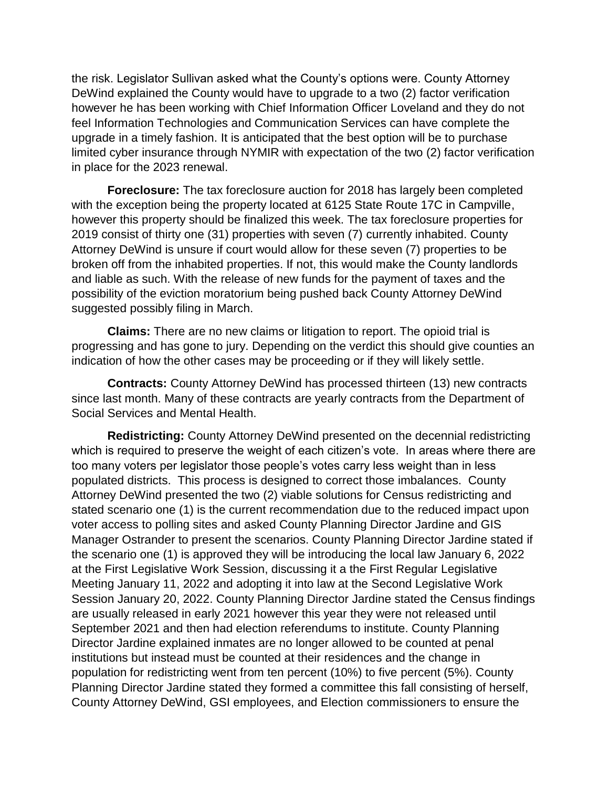the risk. Legislator Sullivan asked what the County's options were. County Attorney DeWind explained the County would have to upgrade to a two (2) factor verification however he has been working with Chief Information Officer Loveland and they do not feel Information Technologies and Communication Services can have complete the upgrade in a timely fashion. It is anticipated that the best option will be to purchase limited cyber insurance through NYMIR with expectation of the two (2) factor verification in place for the 2023 renewal.

**Foreclosure:** The tax foreclosure auction for 2018 has largely been completed with the exception being the property located at 6125 State Route 17C in Campville, however this property should be finalized this week. The tax foreclosure properties for 2019 consist of thirty one (31) properties with seven (7) currently inhabited. County Attorney DeWind is unsure if court would allow for these seven (7) properties to be broken off from the inhabited properties. If not, this would make the County landlords and liable as such. With the release of new funds for the payment of taxes and the possibility of the eviction moratorium being pushed back County Attorney DeWind suggested possibly filing in March.

**Claims:** There are no new claims or litigation to report. The opioid trial is progressing and has gone to jury. Depending on the verdict this should give counties an indication of how the other cases may be proceeding or if they will likely settle.

**Contracts:** County Attorney DeWind has processed thirteen (13) new contracts since last month. Many of these contracts are yearly contracts from the Department of Social Services and Mental Health.

**Redistricting:** County Attorney DeWind presented on the decennial redistricting which is required to preserve the weight of each citizen's vote. In areas where there are too many voters per legislator those people's votes carry less weight than in less populated districts. This process is designed to correct those imbalances. County Attorney DeWind presented the two (2) viable solutions for Census redistricting and stated scenario one (1) is the current recommendation due to the reduced impact upon voter access to polling sites and asked County Planning Director Jardine and GIS Manager Ostrander to present the scenarios. County Planning Director Jardine stated if the scenario one (1) is approved they will be introducing the local law January 6, 2022 at the First Legislative Work Session, discussing it a the First Regular Legislative Meeting January 11, 2022 and adopting it into law at the Second Legislative Work Session January 20, 2022. County Planning Director Jardine stated the Census findings are usually released in early 2021 however this year they were not released until September 2021 and then had election referendums to institute. County Planning Director Jardine explained inmates are no longer allowed to be counted at penal institutions but instead must be counted at their residences and the change in population for redistricting went from ten percent (10%) to five percent (5%). County Planning Director Jardine stated they formed a committee this fall consisting of herself, County Attorney DeWind, GSI employees, and Election commissioners to ensure the